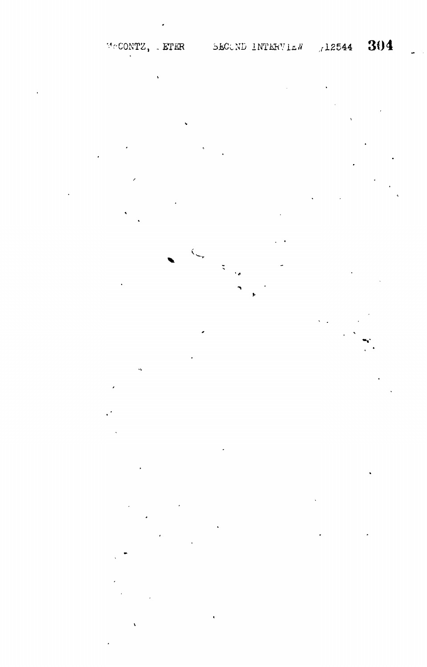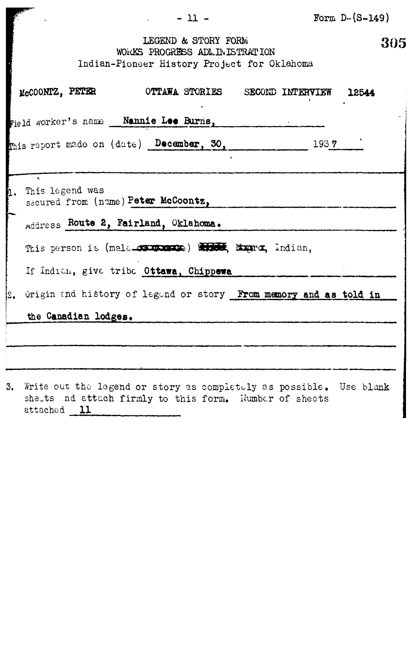|                       |                      | $-11-$                                                                          |                     |  | Form $D-(S-149)$                |       |  |
|-----------------------|----------------------|---------------------------------------------------------------------------------|---------------------|--|---------------------------------|-------|--|
|                       |                      | WORKS PROGRESS ADM. IN ISTRATION<br>Indian-Pioneer History Project for Oklahoma | LEGEND & STORY FORM |  |                                 | 305   |  |
|                       | McCOONTZ, PETER      |                                                                                 |                     |  | OTTAWA STORIES SECOND INTERVIEW | 12544 |  |
|                       |                      | Field worker's name Nannie Lee Burns,                                           |                     |  |                                 |       |  |
|                       |                      | This report made on (date) December, 30,                                        |                     |  | 1937                            |       |  |
|                       |                      |                                                                                 |                     |  |                                 |       |  |
| This legend was<br>h. |                      | secured from (name) Peter McCoontz,                                             |                     |  |                                 |       |  |
|                       |                      | Address Route 2, Fairland, Oklahoma.                                            |                     |  |                                 |       |  |
|                       |                      | This person is (male concernate) which in raian,                                |                     |  |                                 |       |  |
|                       |                      | If Indian, give tribe Ottawa, Chippewa                                          |                     |  |                                 |       |  |
| 2.                    |                      | Origin and history of legand or story From memory and as told in                |                     |  |                                 |       |  |
|                       | the Canadian lodges. |                                                                                 |                     |  |                                 |       |  |
|                       |                      |                                                                                 |                     |  |                                 |       |  |
|                       |                      |                                                                                 |                     |  |                                 |       |  |
|                       |                      | 3. Write out the legend or story as completely as possible. Use blank           |                     |  |                                 |       |  |

3. Write out the legend or story as completely as possible. Use blank shets nd attach firmly to this form. Number of sheets attached 11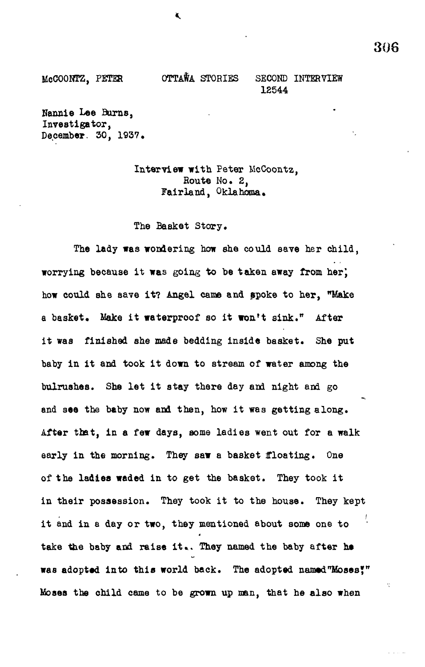氡

**Hannie Lee Burns, Investigator, December. 30, 1937.**

> **Interview with Peter McCoontz, Route No. 2, Fairland, Oklahoma.**

**The Basket Story.**

**The lady was wondering how she could save her child, worrying because it was going to be taken away from herj how could Bhe save it? Angel cane and spoke to her, "Make a basket. Make it waterproof so it won't sink." After it was finished she made bedding inside basket. She put baby in it and took it down to stream of water among the bulrushes. She let it stay there day and night and go and see the baby now and then, how it was getting along. After that, in a few days, some ladies went out for a walk early in the morning. They saw a basket floating. One of the ladies waded in to get the basket. They took it in their possession. They took it to the house. They kept** <sup>i</sup> **it and in a day or two, they mentioned about some one to** 4 **take the baby and raise it. . They named the baby after h» was adopted into this world back. The adopted named "Moses!" Moses the child came to be grown up man, that he also when**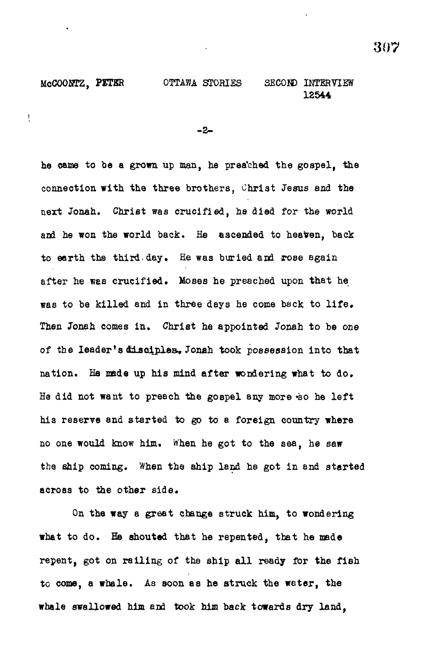ŧ

**- 2 -**

he came to be a grown up man, he prea'ched the gospel, the connection with the three brothers, Christ Jesus and the next Jonah. Christ was crucified, he died for the world and he won the world back. He ascended to heaven, back to earth the third.day. He was buried and rose again after he was crucified. Moses he preached upon that he was to be killed and in three days he come back to life. Then Jonah comes in. Christ he appointed Jonah to be one of the leader's disciples. Jonah took possession into that nation. He made up his mind after wondering what to do. He did not want to preach the gospel any more so he left hia reserve and started to go to a foreign country where no one would know him. When he got to the sea, he saw the ship coming. When the ship land he got in and started across to the other side.

On the way a great change struck him, to wondering what to do. He shouted that he repented, that he made repent, got on railing of the ship all ready for the fish to come, a whale. As soon as he struck the water, the whale swallowed him and took him back towards dry land,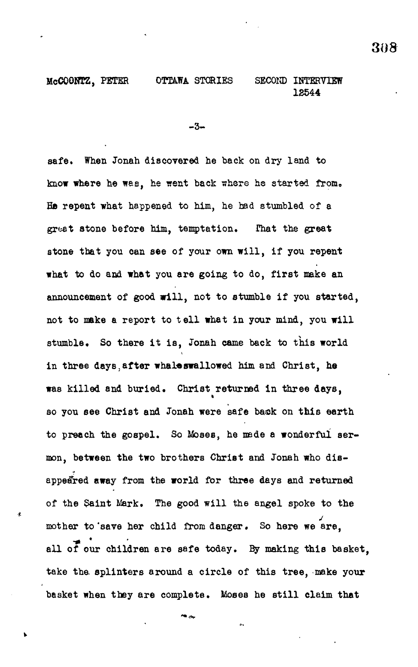-3-

safe. When Jonah discovered he back on dry land to know where he was, he went back where he started from. He repent what happened to him, he had stumbled of a great stone before him, temptation. That the great stone that you can see of your own will, if you repent what to do and what you are going to do, first make an announcement of good will, not to stumble if you started, not to make a report to tell what in your mind, you will stumble. So there it is, Jonah came back to this world in three days .after whale swallowed him and Christ, he was killed and buried. Christ returned in three days, so you see Christ and Jonah were safe back on this earth to preach the gospel. So Moses, he nede a wonderful sermon, between the two brothers Christ and Jonah who disappeared away from the world for three days and returned of the Saint Mark. The good will the angel spoke to the mother to save her child from danger. So here we are, all of our children are safe today. By making this basket, take the splinters around a circle of this tree, make your basket when they are complete. Moses he still claim that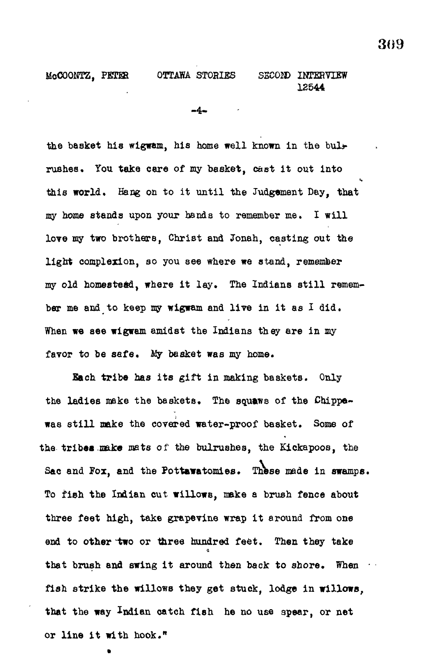-a

the basket his wigwam, his home well known in the bulrushes. You take care of my basket, cast it out into this world. Hang on to it until the Judgement Day, that my home stands upon your hands to remember me. I will love my two brothers, Christ and Jonah, casting out the light complexion, so you see where we stand, remember my old homestead, where it lay. The Indians still remember me and to keep my wigwam and live in it as I did. When we see wigwam amidst the Indians they are in my favor to be safe. My basket was my home.

Each tribe has its gift in making baskets. Only the ladies make the baskets. The squaws of the Chippewas still make the covered water-proof basket. Some of the tribea make mats of the bulrushes, the Kickapoos, the Sac and fox, and the Pottewatomies. These made in swamps. To fish the Indian cut willows, make a brush fence about three feet high, take grapevine wrap it around from one end to other two or three hundred feet. Then they take that brush and swing it around then back to shore. When fish strike the willows they get stuck, lodge in willows, that the way Indian catch fish he no use apear, or net or line it with hook."

309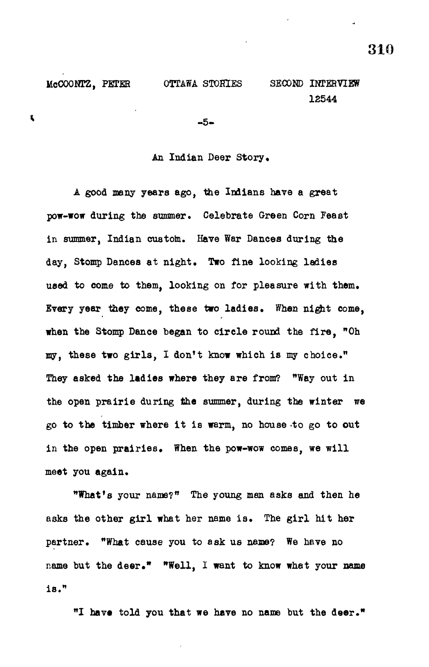$-5-$ **- 5 -**

笺

## **An Indian Deer Story\***

**A good many years ago, the Indians have a great pow-wow during the summer. Celebrate Green Corn Feast in summer, Indian custom.. Have War Dances during the day, Stomp Dances at night. Two fine looking ladies used to come to them, looking on for pleasure with them. Every year they come, these two ladies. When night come, when the Stomp Dance began to circle round the fire, <sup>n</sup>0h my, these two girls, I don't know which is my choice." They asked the ladies where they are from? "Way out in the open prairie during the summer, during the winter we go to the timber where it is warm, no house to go to out in the open prairies. When the pow-wow comes, we will meet you again.**

**"What's your name?" The young man asks and then he** asks the other girl what her name is. The girl hit her **partner. "What cause you to ask us name? We have no name but the deer." "Well, I want to know what your name is."**

**"I have told you that we have no name but the deer."**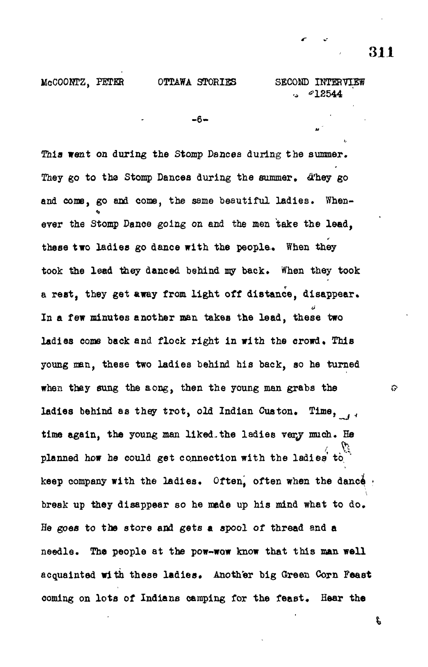\* ^12544

**311**

-6-

This went on during the Stomp Dances during the summer. They go to the Stomp Dances during the summer. Ahey go and come, go and come, the same beautiful ladies. Whenever the Stomp Dance going on and the men take the lead. these two ladies go dance with the people. When they took the lead they danced behind my back. When they took a rest, they get away from light off distance, disappear. In a few minutes another man takes the lead, these two ladies come back and flock right in with the crowd. This young man, these two ladies behind his back, so he turned when they sung the aong, then the young man grabs the ladies behind as they trot, old Indian Custon. Time,*<sup>4</sup>* time again, the young man liked.the ladies very much. He planned how he could get connection with the ladies to keep company with the ladies. Often, often when the dance break up they disappear so he made up his mind what to do. He goes to the store and gets a spool of thread and a needle. The people at the pow-waw know that this man well acquainted with these ladies. Another big Green Corn Feast coming on lots of Indians camping for the feast. Hear the

ひ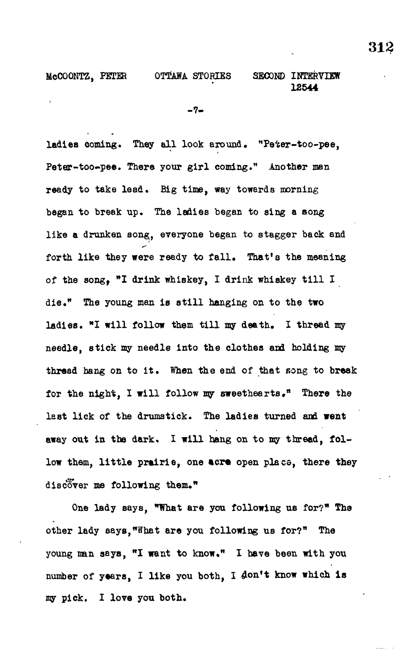$-7-$ 

ladies coming. They all look around. "Peter-too-pee, Peter-too-pee. There your girl coming." Another man ready to take lead. Big time, way towards morning began to break up. The ladies began to sing a song like a drunken song, everyone began to stagger back and forth like they were ready to fall. That's the meaning of the song, "I drink whiskey, I drink whiskey till I die." The young man is still hanging on to the two ladies. "I will follow them till my death. I thread my needle, stick my needle into the clothes and holding my thread hang on to it. When the end of that song to break for the night. I will follow my sweethearts." There the last lick of the drumstick. The ladies turned and went away out in the dark. I will hang on to my thread, follow them, little prairie, one acre open place, there they discover me following them."

One lady says, "What are you following us for?" The other lady says,"What are you following us for?" The young man says, "I want to know." I have been with you number of years, I like you both, I don't know which is my pick. I love you both.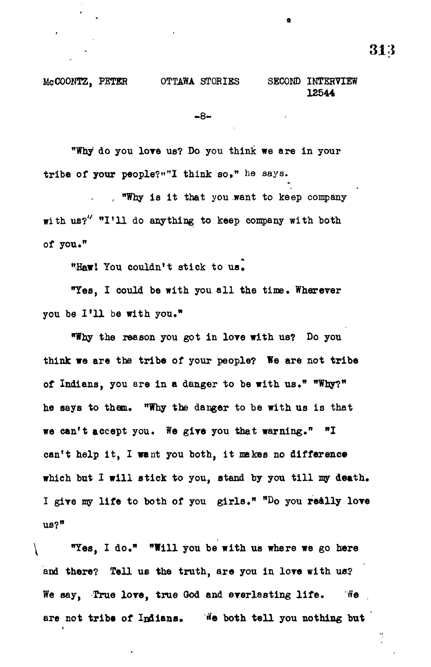$-8-$ 

**<sup>n</sup>Why do you lore us? Do you think we are in your tribe of your people?""! think so,"** *he* **says.**

**, "Why is it that you want to keep company with us?" "I'll do anything to keep company with both of you."**

**"Bawl You couldn't stick to us.**

**"Yes, I could be with you all the time. Wherever** you be I'll be with you."

**"Why the reason you got in lore with us? Do you think we are the tribe of your people? We are not tribe of Indians, you are in a danger to be with us." "Why?" he says to them. "Why the danger to be with us is that** we can't accept you. We give you that warning." "I **can't help it, I want you both, it makes no difference** which but I will stick to you, stand by you till my death. I give my life to both of you girls." "Do you really love **us?"**

**"Yes, I do," "Will you be with us where we go here** and there? Tell us the truth, are you in love with us? **We say, True lore, true God and everlasting life . ffe ,** are not tribe of Indians. We both tell you nothing but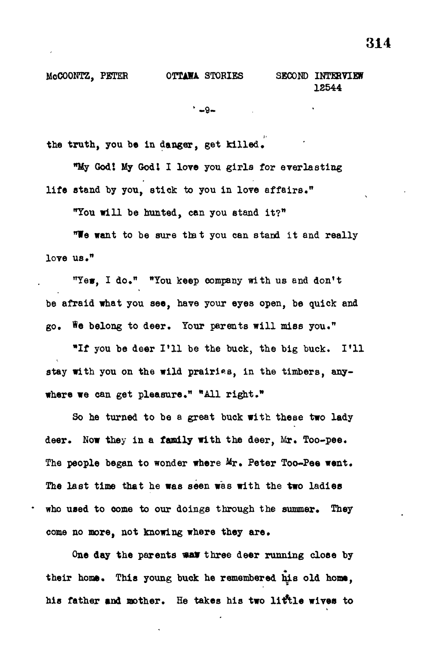$-9-$ 

**the truth, you be in danger, get killed,**

**"My God! My God! I love you girls for everlasting** life stand by you, stick to you in love affairs."

**"You will be bunted, can you stand it?"**

**"We want to be sure that you can stand it and really love us,"**

**"Yew, I do." "You keep company with us and don\*t be afraid what you see, have your eyes open, be quick and go. We belong to deer. Your parents will miss you."**

**"If you be deer I»ll be the buck, the big buck. stay with you on the wild prairies, in the timbers, anywhere we can get pleasure." "All right."**

**So he turned to be a great buck with these two lady deer. Now they in a family with the deer, Mr. Too-pee. The people began to wonder where Mr. Peter Too-Pee went. The last time that he was seen was with the two ladies who used to come to our doings through the summer. They come no more, not knowing where they are.**

One day the parents waw three deer running close by **their home. This young buck he remembered his old home,** his father and mother. He takes his two little wives to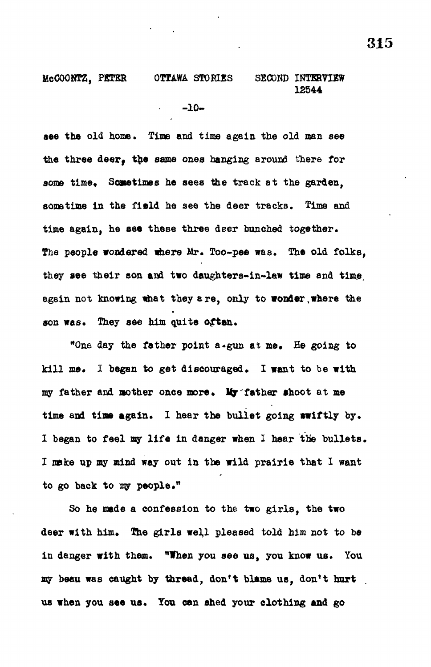## MoCOONTZ, PETER OTTAWA STORIES SECOND INTERVIEW 12544

-10-

see the old home. Time and time again the old man see the three deer. the same ones hanging around there for some time. Sometimes he sees the track at the garden. **sometime in the field he see the deer tracks. Tine and time again, he see these three deer bunched together. The people wondered where Mr. Too-pee was. The old folks, they see their son and two daughters-in-law tine and time, again not knowing what they are, only to wonder,where the** son was. They see him quite often.

**"One day the father point a-gun at me. He going to** kill me. I began to get discouraged. I want to be with **my father and nother once more\* My'father shoot at me** time and time again. I hear the bullet going wwiftly by. I began to feel my life in danger when I hear the bullets. **I make up my mind way out in the wild prairie that I want to go back to my people."**

**So he made a confession to the two girls, the two** deer with him. The girls well pleased told him not to be **in danger with them. "When you see us, you know us. You my beau was caught by thread, don't blame us, don't hurt** us when you see us. You can shed your clothing and go